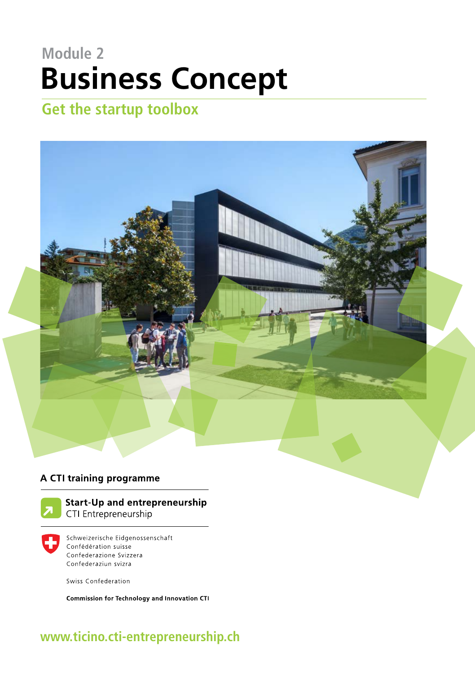## **Module 2 Business Concept**

## **Get the startup toolbox**



#### A CTI training programme



**Start-Up and entrepreneurship** CTI Entrepreneurship

Schweizerische Eidgenossenschaft Confédération suisse Confederazione Svizzera Confederaziun svizra

Swiss Confederation

Commission for Technology and Innovation CTI

### **www.ticino.cti-entrepreneurship.ch**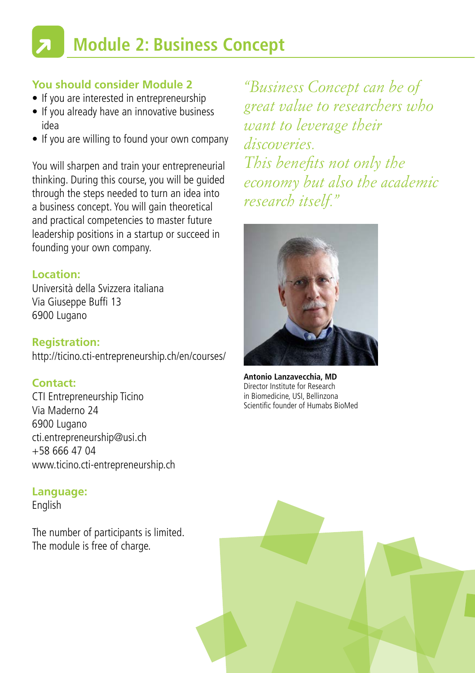# **Module 2: Business Concept**

#### **You should consider Module 2**

- If you are interested in entrepreneurship
- If you already have an innovative business idea
- If you are willing to found your own company

You will sharpen and train your entrepreneurial thinking. During this course, you will be guided through the steps needed to turn an idea into a business concept. You will gain theoretical and practical competencies to master future leadership positions in a startup or succeed in founding your own company.

#### **Location:**

Università della Svizzera italiana Via Giuseppe Buffi 13 6900 Lugano

**Registration:** http://ticino.cti-entrepreneurship.ch/en/courses/

#### **Contact:**

CTI Entrepreneurship Ticino Via Maderno 24 6900 Lugano cti.entrepreneurship@usi.ch  $+58$  666 47 04 www.ticino.cti-entrepreneurship.ch

#### **Language:**

English

The number of participants is limited. The module is free of charge.

*"Business Concept can be of great value to researchers who want to leverage their discoveries. This benefits not only the economy but also the academic research itself."*



**Antonio Lanzavecchia, MD** Director Institute for Research in Biomedicine, USI, Bellinzona Scientific founder of Humabs BioMed

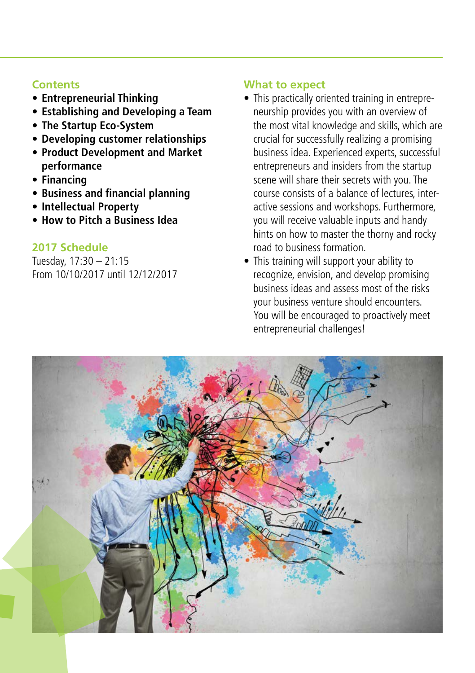#### **Contents**

- **• Entrepreneurial Thinking**
- **• Establishing and Developing a Team**
- **• The Startup Eco-System**
- **• Developing customer relationships**
- **• Product Development and Market performance**
- **• Financing**
- **• Business and financial planning**
- **• Intellectual Property**
- **• How to Pitch a Business Idea**

#### **2017 Schedule**

Tuesday, 17:30 – 21:15 From 10/10/2017 until 12/12/2017

#### **What to expect**

- This practically oriented training in entrepreneurship provides you with an overview of the most vital knowledge and skills, which are crucial for successfully realizing a promising business idea. Experienced experts, successful entrepreneurs and insiders from the startup scene will share their secrets with you. The course consists of a balance of lectures, interactive sessions and workshops. Furthermore, you will receive valuable inputs and handy hints on how to master the thorny and rocky road to business formation.
- This training will support your ability to recognize, envision, and develop promising business ideas and assess most of the risks your business venture should encounters. You will be encouraged to proactively meet entrepreneurial challenges!